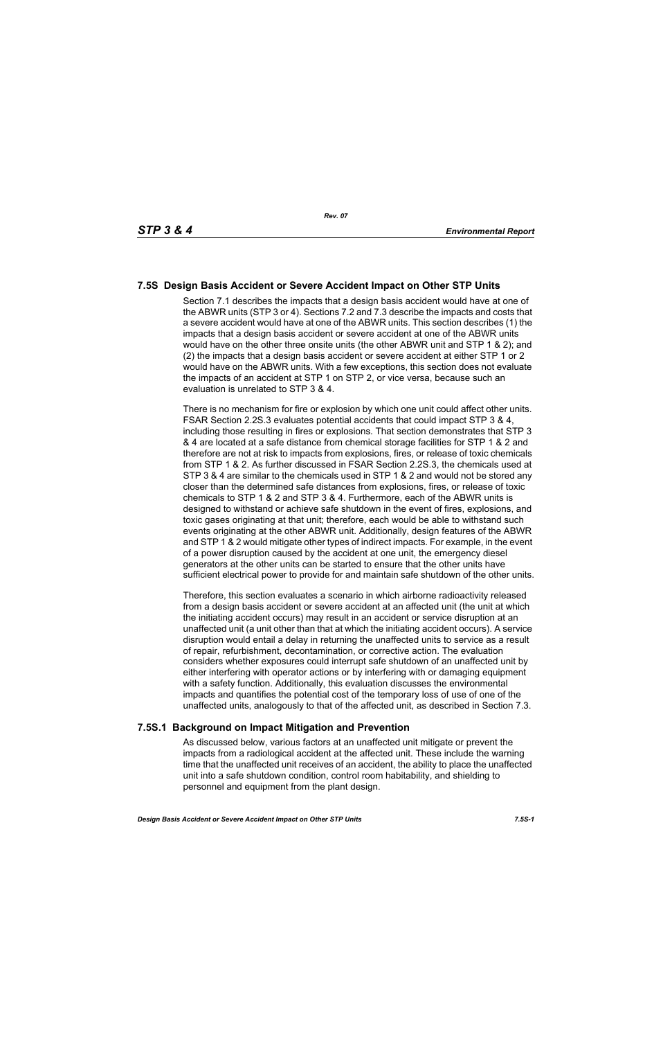# **7.5S Design Basis Accident or Severe Accident Impact on Other STP Units**

Section 7.1 describes the impacts that a design basis accident would have at one of the ABWR units (STP 3 or 4). Sections 7.2 and 7.3 describe the impacts and costs that a severe accident would have at one of the ABWR units. This section describes (1) the impacts that a design basis accident or severe accident at one of the ABWR units would have on the other three onsite units (the other ABWR unit and STP 1 & 2); and (2) the impacts that a design basis accident or severe accident at either STP 1 or 2 would have on the ABWR units. With a few exceptions, this section does not evaluate the impacts of an accident at STP 1 on STP 2, or vice versa, because such an evaluation is unrelated to STP 3 & 4.

There is no mechanism for fire or explosion by which one unit could affect other units. FSAR Section 2.2S.3 evaluates potential accidents that could impact STP 3 & 4, including those resulting in fires or explosions. That section demonstrates that STP 3 & 4 are located at a safe distance from chemical storage facilities for STP 1 & 2 and therefore are not at risk to impacts from explosions, fires, or release of toxic chemicals from STP 1 & 2. As further discussed in FSAR Section 2.2S.3, the chemicals used at STP 3 & 4 are similar to the chemicals used in STP 1 & 2 and would not be stored any closer than the determined safe distances from explosions, fires, or release of toxic chemicals to STP 1 & 2 and STP 3 & 4. Furthermore, each of the ABWR units is designed to withstand or achieve safe shutdown in the event of fires, explosions, and toxic gases originating at that unit; therefore, each would be able to withstand such events originating at the other ABWR unit. Additionally, design features of the ABWR and STP 1 & 2 would mitigate other types of indirect impacts. For example, in the event of a power disruption caused by the accident at one unit, the emergency diesel generators at the other units can be started to ensure that the other units have sufficient electrical power to provide for and maintain safe shutdown of the other units.

Therefore, this section evaluates a scenario in which airborne radioactivity released from a design basis accident or severe accident at an affected unit (the unit at which the initiating accident occurs) may result in an accident or service disruption at an unaffected unit (a unit other than that at which the initiating accident occurs). A service disruption would entail a delay in returning the unaffected units to service as a result of repair, refurbishment, decontamination, or corrective action. The evaluation considers whether exposures could interrupt safe shutdown of an unaffected unit by either interfering with operator actions or by interfering with or damaging equipment with a safety function. Additionally, this evaluation discusses the environmental impacts and quantifies the potential cost of the temporary loss of use of one of the unaffected units, analogously to that of the affected unit, as described in Section 7.3.

### **7.5S.1 Background on Impact Mitigation and Prevention**

As discussed below, various factors at an unaffected unit mitigate or prevent the impacts from a radiological accident at the affected unit. These include the warning time that the unaffected unit receives of an accident, the ability to place the unaffected unit into a safe shutdown condition, control room habitability, and shielding to personnel and equipment from the plant design.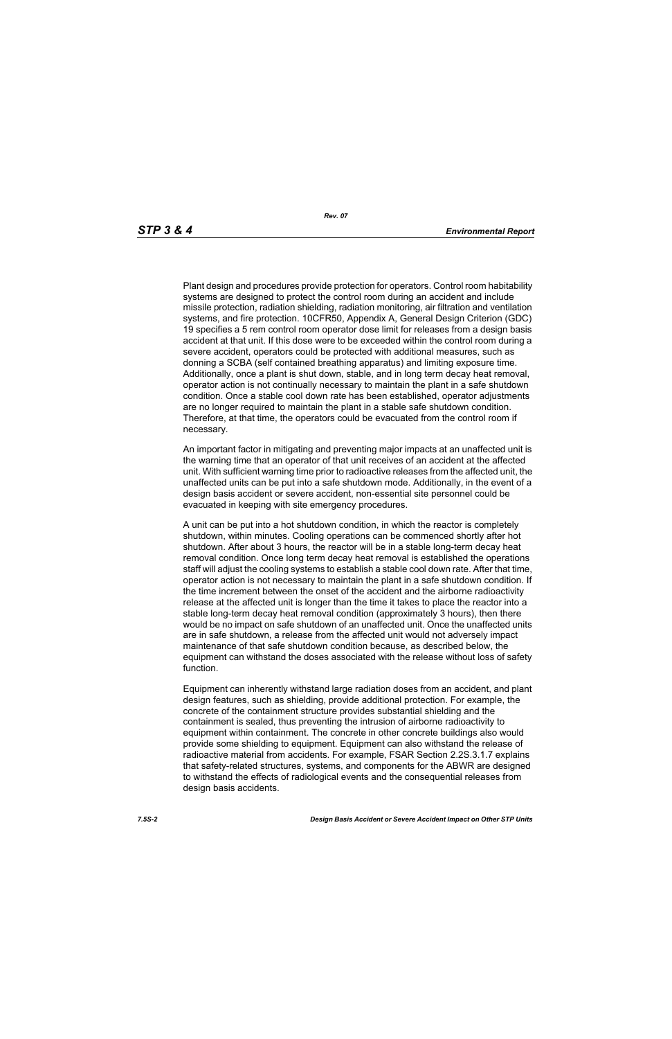Plant design and procedures provide protection for operators. Control room habitability systems are designed to protect the control room during an accident and include missile protection, radiation shielding, radiation monitoring, air filtration and ventilation systems, and fire protection. 10CFR50, Appendix A, General Design Criterion (GDC) 19 specifies a 5 rem control room operator dose limit for releases from a design basis accident at that unit. If this dose were to be exceeded within the control room during a severe accident, operators could be protected with additional measures, such as donning a SCBA (self contained breathing apparatus) and limiting exposure time. Additionally, once a plant is shut down, stable, and in long term decay heat removal, operator action is not continually necessary to maintain the plant in a safe shutdown condition. Once a stable cool down rate has been established, operator adjustments are no longer required to maintain the plant in a stable safe shutdown condition. Therefore, at that time, the operators could be evacuated from the control room if necessary.

An important factor in mitigating and preventing major impacts at an unaffected unit is the warning time that an operator of that unit receives of an accident at the affected unit. With sufficient warning time prior to radioactive releases from the affected unit, the unaffected units can be put into a safe shutdown mode. Additionally, in the event of a design basis accident or severe accident, non-essential site personnel could be evacuated in keeping with site emergency procedures.

A unit can be put into a hot shutdown condition, in which the reactor is completely shutdown, within minutes. Cooling operations can be commenced shortly after hot shutdown. After about 3 hours, the reactor will be in a stable long-term decay heat removal condition. Once long term decay heat removal is established the operations staff will adjust the cooling systems to establish a stable cool down rate. After that time, operator action is not necessary to maintain the plant in a safe shutdown condition. If the time increment between the onset of the accident and the airborne radioactivity release at the affected unit is longer than the time it takes to place the reactor into a stable long-term decay heat removal condition (approximately 3 hours), then there would be no impact on safe shutdown of an unaffected unit. Once the unaffected units are in safe shutdown, a release from the affected unit would not adversely impact maintenance of that safe shutdown condition because, as described below, the equipment can withstand the doses associated with the release without loss of safety function.

Equipment can inherently withstand large radiation doses from an accident, and plant design features, such as shielding, provide additional protection. For example, the concrete of the containment structure provides substantial shielding and the containment is sealed, thus preventing the intrusion of airborne radioactivity to equipment within containment. The concrete in other concrete buildings also would provide some shielding to equipment. Equipment can also withstand the release of radioactive material from accidents. For example, FSAR Section 2.2S.3.1.7 explains that safety-related structures, systems, and components for the ABWR are designed to withstand the effects of radiological events and the consequential releases from design basis accidents.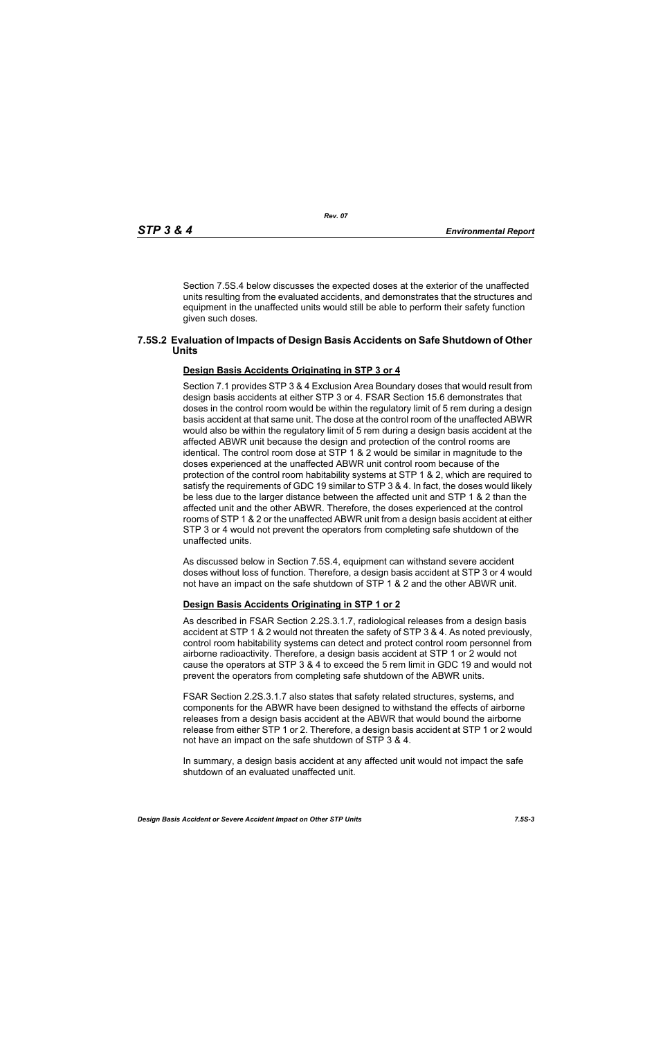Section 7.5S.4 below discusses the expected doses at the exterior of the unaffected units resulting from the evaluated accidents, and demonstrates that the structures and equipment in the unaffected units would still be able to perform their safety function given such doses.

#### **7.5S.2 Evaluation of Impacts of Design Basis Accidents on Safe Shutdown of Other Units**

#### **Design Basis Accidents Originating in STP 3 or 4**

Section 7.1 provides STP 3 & 4 Exclusion Area Boundary doses that would result from design basis accidents at either STP 3 or 4. FSAR Section 15.6 demonstrates that doses in the control room would be within the regulatory limit of 5 rem during a design basis accident at that same unit. The dose at the control room of the unaffected ABWR would also be within the regulatory limit of 5 rem during a design basis accident at the affected ABWR unit because the design and protection of the control rooms are identical. The control room dose at STP 1 & 2 would be similar in magnitude to the doses experienced at the unaffected ABWR unit control room because of the protection of the control room habitability systems at STP 1 & 2, which are required to satisfy the requirements of GDC 19 similar to STP 3 & 4. In fact, the doses would likely be less due to the larger distance between the affected unit and STP 1 & 2 than the affected unit and the other ABWR. Therefore, the doses experienced at the control rooms of STP 1 & 2 or the unaffected ABWR unit from a design basis accident at either STP 3 or 4 would not prevent the operators from completing safe shutdown of the unaffected units.

As discussed below in Section 7.5S.4, equipment can withstand severe accident doses without loss of function. Therefore, a design basis accident at STP 3 or 4 would not have an impact on the safe shutdown of STP 1 & 2 and the other ABWR unit.

#### **Design Basis Accidents Originating in STP 1 or 2**

As described in FSAR Section 2.2S.3.1.7, radiological releases from a design basis accident at STP 1 & 2 would not threaten the safety of STP 3 & 4. As noted previously, control room habitability systems can detect and protect control room personnel from airborne radioactivity. Therefore, a design basis accident at STP 1 or 2 would not cause the operators at STP 3 & 4 to exceed the 5 rem limit in GDC 19 and would not prevent the operators from completing safe shutdown of the ABWR units.

FSAR Section 2.2S.3.1.7 also states that safety related structures, systems, and components for the ABWR have been designed to withstand the effects of airborne releases from a design basis accident at the ABWR that would bound the airborne release from either STP 1 or 2. Therefore, a design basis accident at STP 1 or 2 would not have an impact on the safe shutdown of STP 3 & 4.

In summary, a design basis accident at any affected unit would not impact the safe shutdown of an evaluated unaffected unit.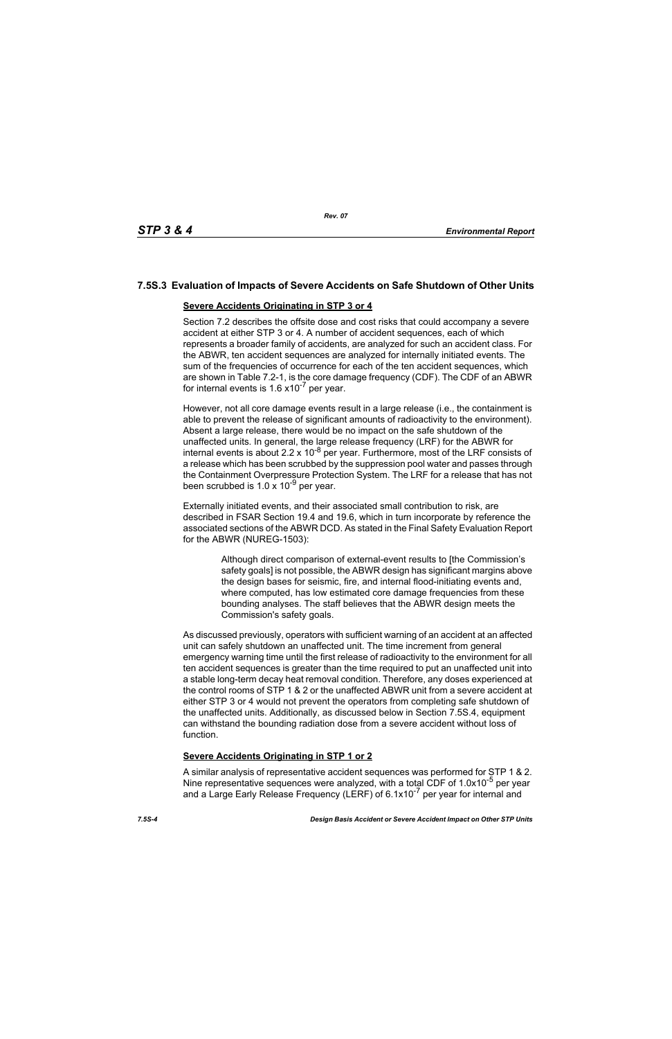## **7.5S.3 Evaluation of Impacts of Severe Accidents on Safe Shutdown of Other Units**

#### **Severe Accidents Originating in STP 3 or 4**

Section 7.2 describes the offsite dose and cost risks that could accompany a severe accident at either STP 3 or 4. A number of accident sequences, each of which represents a broader family of accidents, are analyzed for such an accident class. For the ABWR, ten accident sequences are analyzed for internally initiated events. The sum of the frequencies of occurrence for each of the ten accident sequences, which are shown in Table 7.2-1, is the core damage frequency (CDF). The CDF of an ABWR for internal events is  $1.6 \times 10^{-7}$  per year.

However, not all core damage events result in a large release (i.e., the containment is able to prevent the release of significant amounts of radioactivity to the environment). Absent a large release, there would be no impact on the safe shutdown of the unaffected units. In general, the large release frequency (LRF) for the ABWR for internal events is about 2.2 x 10<sup>-8</sup> per year. Furthermore, most of the LRF consists of a release which has been scrubbed by the suppression pool water and passes through the Containment Overpressure Protection System. The LRF for a release that has not been scrubbed is  $1.0 \times 10^{-9}$  per year.

Externally initiated events, and their associated small contribution to risk, are described in FSAR Section 19.4 and 19.6, which in turn incorporate by reference the associated sections of the ABWR DCD. As stated in the Final Safety Evaluation Report for the ABWR (NUREG-1503):

> Although direct comparison of external-event results to [the Commission's safety goals] is not possible, the ABWR design has significant margins above the design bases for seismic, fire, and internal flood-initiating events and, where computed, has low estimated core damage frequencies from these bounding analyses. The staff believes that the ABWR design meets the Commission's safety goals.

As discussed previously, operators with sufficient warning of an accident at an affected unit can safely shutdown an unaffected unit. The time increment from general emergency warning time until the first release of radioactivity to the environment for all ten accident sequences is greater than the time required to put an unaffected unit into a stable long-term decay heat removal condition. Therefore, any doses experienced at the control rooms of STP 1 & 2 or the unaffected ABWR unit from a severe accident at either STP 3 or 4 would not prevent the operators from completing safe shutdown of the unaffected units. Additionally, as discussed below in Section 7.5S.4, equipment can withstand the bounding radiation dose from a severe accident without loss of function.

### **Severe Accidents Originating in STP 1 or 2**

A similar analysis of representative accident sequences was performed for STP 1 & 2. Nine representative sequences were analyzed, with a total CDF of 1.0x10<sup>-5</sup> per year and a Large Early Release Frequency (LERF) of 6.1x10<sup>-7</sup> per year for internal and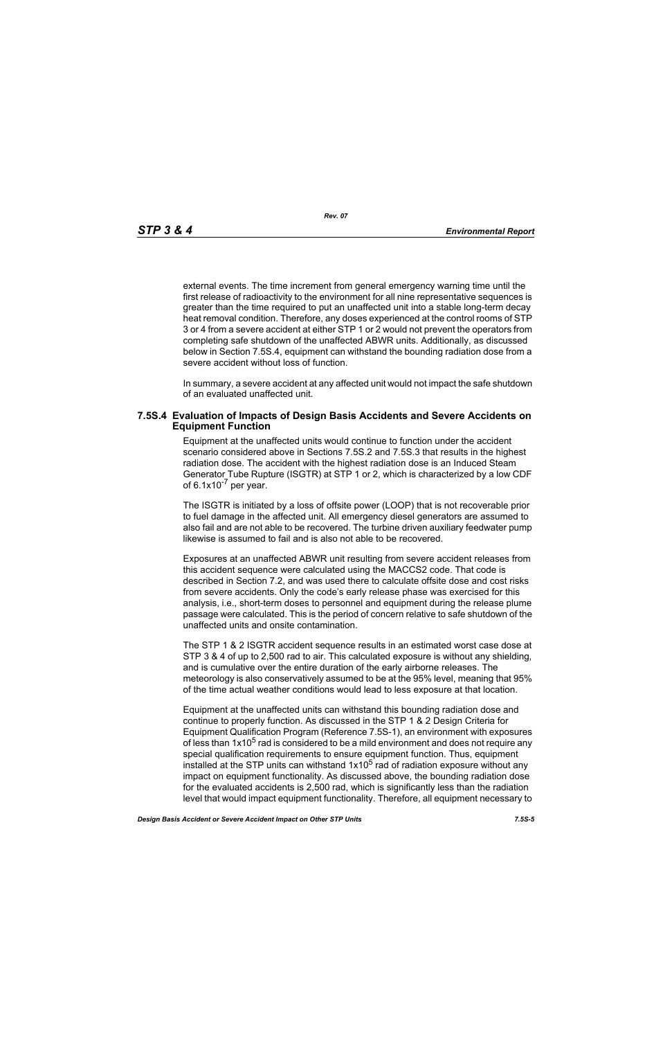*Rev. 07*

external events. The time increment from general emergency warning time until the first release of radioactivity to the environment for all nine representative sequences is greater than the time required to put an unaffected unit into a stable long-term decay heat removal condition. Therefore, any doses experienced at the control rooms of STP 3 or 4 from a severe accident at either STP 1 or 2 would not prevent the operators from completing safe shutdown of the unaffected ABWR units. Additionally, as discussed below in Section 7.5S.4, equipment can withstand the bounding radiation dose from a severe accident without loss of function.

In summary, a severe accident at any affected unit would not impact the safe shutdown of an evaluated unaffected unit.

#### **7.5S.4 Evaluation of Impacts of Design Basis Accidents and Severe Accidents on Equipment Function**

Equipment at the unaffected units would continue to function under the accident scenario considered above in Sections 7.5S.2 and 7.5S.3 that results in the highest radiation dose. The accident with the highest radiation dose is an Induced Steam Generator Tube Rupture (ISGTR) at STP 1 or 2, which is characterized by a low CDF of  $6.1x10^{-7}$  per year.

The ISGTR is initiated by a loss of offsite power (LOOP) that is not recoverable prior to fuel damage in the affected unit. All emergency diesel generators are assumed to also fail and are not able to be recovered. The turbine driven auxiliary feedwater pump likewise is assumed to fail and is also not able to be recovered.

Exposures at an unaffected ABWR unit resulting from severe accident releases from this accident sequence were calculated using the MACCS2 code. That code is described in Section 7.2, and was used there to calculate offsite dose and cost risks from severe accidents. Only the code's early release phase was exercised for this analysis, i.e., short-term doses to personnel and equipment during the release plume passage were calculated. This is the period of concern relative to safe shutdown of the unaffected units and onsite contamination.

The STP 1 & 2 ISGTR accident sequence results in an estimated worst case dose at STP 3 & 4 of up to 2,500 rad to air. This calculated exposure is without any shielding, and is cumulative over the entire duration of the early airborne releases. The meteorology is also conservatively assumed to be at the 95% level, meaning that 95% of the time actual weather conditions would lead to less exposure at that location.

Equipment at the unaffected units can withstand this bounding radiation dose and continue to properly function. As discussed in the STP 1 & 2 Design Criteria for Equipment Qualification Program (Reference 7.5S-1), an environment with exposures of less than  $1x10<sup>5</sup>$  rad is considered to be a mild environment and does not require any special qualification requirements to ensure equipment function. Thus, equipment installed at the STP units can withstand  $1x10^5$  rad of radiation exposure without any impact on equipment functionality. As discussed above, the bounding radiation dose for the evaluated accidents is 2,500 rad, which is significantly less than the radiation level that would impact equipment functionality. Therefore, all equipment necessary to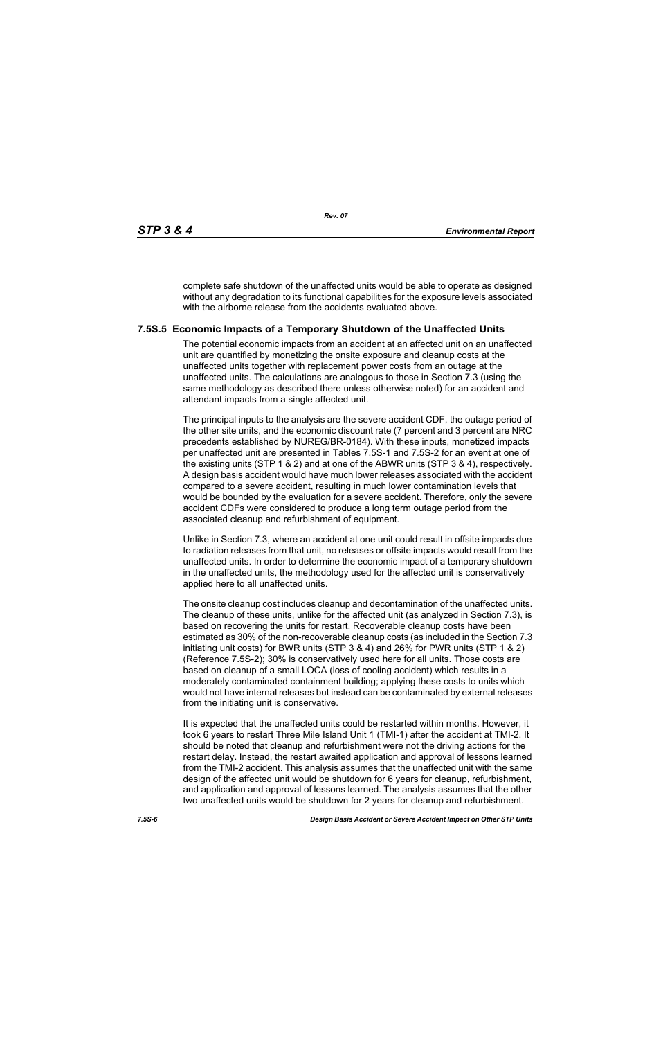complete safe shutdown of the unaffected units would be able to operate as designed without any degradation to its functional capabilities for the exposure levels associated with the airborne release from the accidents evaluated above.

### **7.5S.5 Economic Impacts of a Temporary Shutdown of the Unaffected Units**

The potential economic impacts from an accident at an affected unit on an unaffected unit are quantified by monetizing the onsite exposure and cleanup costs at the unaffected units together with replacement power costs from an outage at the unaffected units. The calculations are analogous to those in Section 7.3 (using the same methodology as described there unless otherwise noted) for an accident and attendant impacts from a single affected unit.

The principal inputs to the analysis are the severe accident CDF, the outage period of the other site units, and the economic discount rate (7 percent and 3 percent are NRC precedents established by NUREG/BR-0184). With these inputs, monetized impacts per unaffected unit are presented in Tables 7.5S-1 and 7.5S-2 for an event at one of the existing units (STP 1 & 2) and at one of the ABWR units (STP 3 & 4), respectively. A design basis accident would have much lower releases associated with the accident compared to a severe accident, resulting in much lower contamination levels that would be bounded by the evaluation for a severe accident. Therefore, only the severe accident CDFs were considered to produce a long term outage period from the associated cleanup and refurbishment of equipment.

Unlike in Section 7.3, where an accident at one unit could result in offsite impacts due to radiation releases from that unit, no releases or offsite impacts would result from the unaffected units. In order to determine the economic impact of a temporary shutdown in the unaffected units, the methodology used for the affected unit is conservatively applied here to all unaffected units.

The onsite cleanup cost includes cleanup and decontamination of the unaffected units. The cleanup of these units, unlike for the affected unit (as analyzed in Section 7.3), is based on recovering the units for restart. Recoverable cleanup costs have been estimated as 30% of the non-recoverable cleanup costs (as included in the Section 7.3 initiating unit costs) for BWR units (STP 3 & 4) and 26% for PWR units (STP 1 & 2) (Reference 7.5S-2); 30% is conservatively used here for all units. Those costs are based on cleanup of a small LOCA (loss of cooling accident) which results in a moderately contaminated containment building; applying these costs to units which would not have internal releases but instead can be contaminated by external releases from the initiating unit is conservative.

It is expected that the unaffected units could be restarted within months. However, it took 6 years to restart Three Mile Island Unit 1 (TMI-1) after the accident at TMI-2. It should be noted that cleanup and refurbishment were not the driving actions for the restart delay. Instead, the restart awaited application and approval of lessons learned from the TMI-2 accident. This analysis assumes that the unaffected unit with the same design of the affected unit would be shutdown for 6 years for cleanup, refurbishment, and application and approval of lessons learned. The analysis assumes that the other two unaffected units would be shutdown for 2 years for cleanup and refurbishment.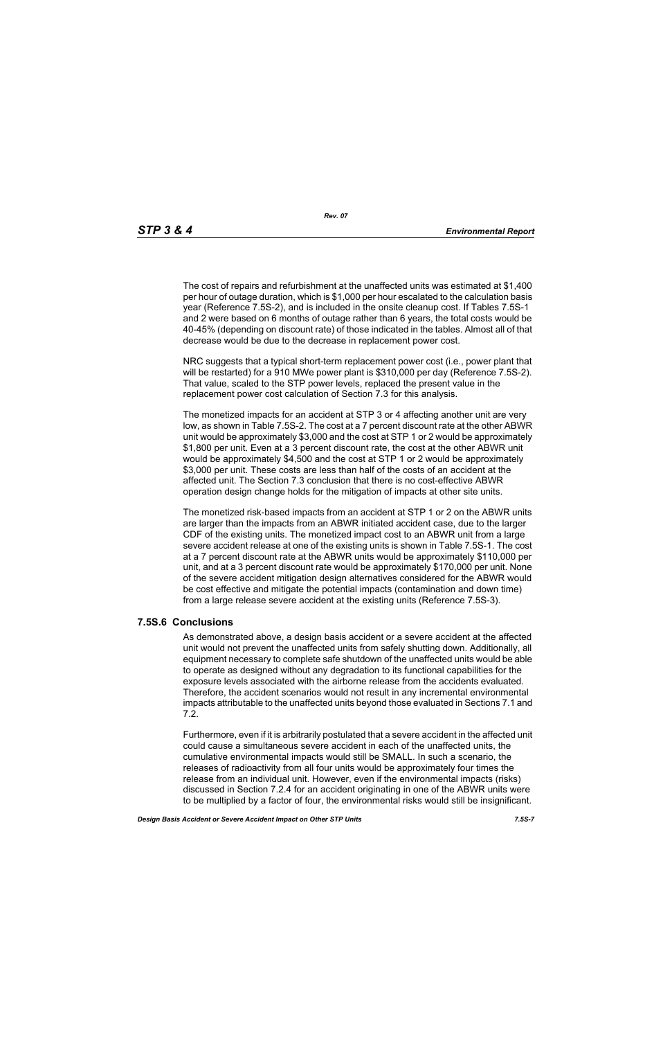The cost of repairs and refurbishment at the unaffected units was estimated at \$1,400 per hour of outage duration, which is \$1,000 per hour escalated to the calculation basis year (Reference 7.5S-2), and is included in the onsite cleanup cost. If Tables 7.5S-1 and 2 were based on 6 months of outage rather than 6 years, the total costs would be 40-45% (depending on discount rate) of those indicated in the tables. Almost all of that decrease would be due to the decrease in replacement power cost.

NRC suggests that a typical short-term replacement power cost (i.e., power plant that will be restarted) for a 910 MWe power plant is \$310,000 per day (Reference 7.5S-2). That value, scaled to the STP power levels, replaced the present value in the replacement power cost calculation of Section 7.3 for this analysis.

The monetized impacts for an accident at STP 3 or 4 affecting another unit are very low, as shown in Table 7.5S-2. The cost at a 7 percent discount rate at the other ABWR unit would be approximately \$3,000 and the cost at STP 1 or 2 would be approximately \$1,800 per unit. Even at a 3 percent discount rate, the cost at the other ABWR unit would be approximately \$4,500 and the cost at STP 1 or 2 would be approximately \$3,000 per unit. These costs are less than half of the costs of an accident at the affected unit. The Section 7.3 conclusion that there is no cost-effective ABWR operation design change holds for the mitigation of impacts at other site units.

The monetized risk-based impacts from an accident at STP 1 or 2 on the ABWR units are larger than the impacts from an ABWR initiated accident case, due to the larger CDF of the existing units. The monetized impact cost to an ABWR unit from a large severe accident release at one of the existing units is shown in Table 7.5S-1. The cost at a 7 percent discount rate at the ABWR units would be approximately \$110,000 per unit, and at a 3 percent discount rate would be approximately \$170,000 per unit. None of the severe accident mitigation design alternatives considered for the ABWR would be cost effective and mitigate the potential impacts (contamination and down time) from a large release severe accident at the existing units (Reference 7.5S-3).

### **7.5S.6 Conclusions**

As demonstrated above, a design basis accident or a severe accident at the affected unit would not prevent the unaffected units from safely shutting down. Additionally, all equipment necessary to complete safe shutdown of the unaffected units would be able to operate as designed without any degradation to its functional capabilities for the exposure levels associated with the airborne release from the accidents evaluated. Therefore, the accident scenarios would not result in any incremental environmental impacts attributable to the unaffected units beyond those evaluated in Sections 7.1 and 7.2.

Furthermore, even if it is arbitrarily postulated that a severe accident in the affected unit could cause a simultaneous severe accident in each of the unaffected units, the cumulative environmental impacts would still be SMALL. In such a scenario, the releases of radioactivity from all four units would be approximately four times the release from an individual unit. However, even if the environmental impacts (risks) discussed in Section 7.2.4 for an accident originating in one of the ABWR units were to be multiplied by a factor of four, the environmental risks would still be insignificant.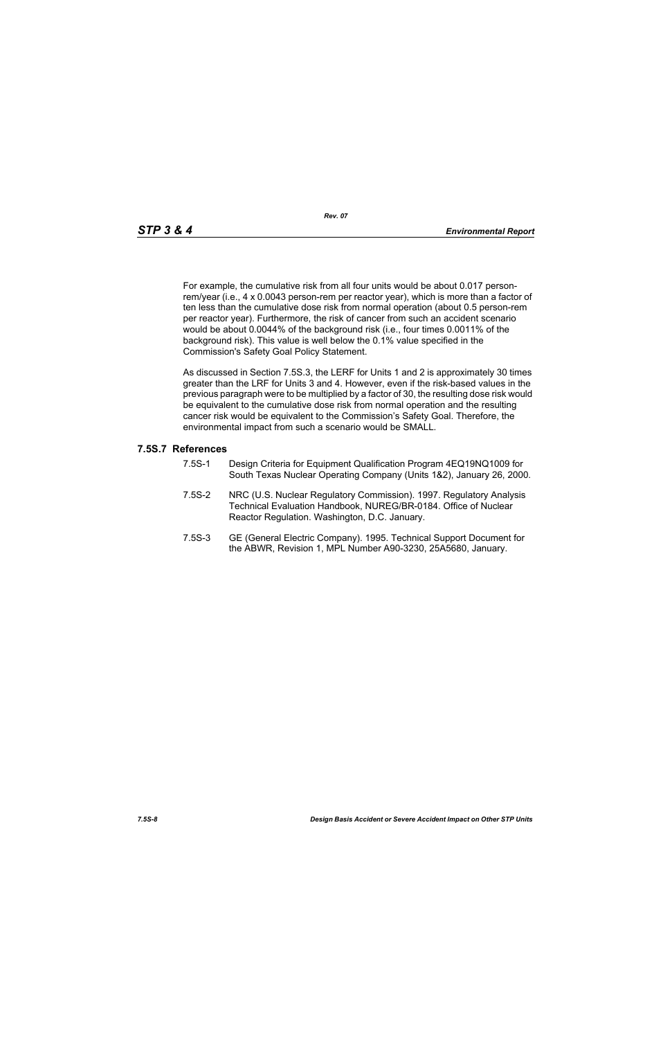For example, the cumulative risk from all four units would be about 0.017 personrem/year (i.e., 4 x 0.0043 person-rem per reactor year), which is more than a factor of ten less than the cumulative dose risk from normal operation (about 0.5 person-rem per reactor year). Furthermore, the risk of cancer from such an accident scenario would be about 0.0044% of the background risk (i.e., four times 0.0011% of the background risk). This value is well below the 0.1% value specified in the Commission's Safety Goal Policy Statement.

As discussed in Section 7.5S.3, the LERF for Units 1 and 2 is approximately 30 times greater than the LRF for Units 3 and 4. However, even if the risk-based values in the previous paragraph were to be multiplied by a factor of 30, the resulting dose risk would be equivalent to the cumulative dose risk from normal operation and the resulting cancer risk would be equivalent to the Commission's Safety Goal. Therefore, the environmental impact from such a scenario would be SMALL.

#### **7.5S.7 References**

- 7.5S-1 Design Criteria for Equipment Qualification Program 4EQ19NQ1009 for South Texas Nuclear Operating Company (Units 1&2), January 26, 2000.
- 7.5S-2 NRC (U.S. Nuclear Regulatory Commission). 1997. Regulatory Analysis Technical Evaluation Handbook, NUREG/BR-0184. Office of Nuclear Reactor Regulation. Washington, D.C. January.
- 7.5S-3 GE (General Electric Company). 1995. Technical Support Document for the ABWR, Revision 1, MPL Number A90-3230, 25A5680, January.